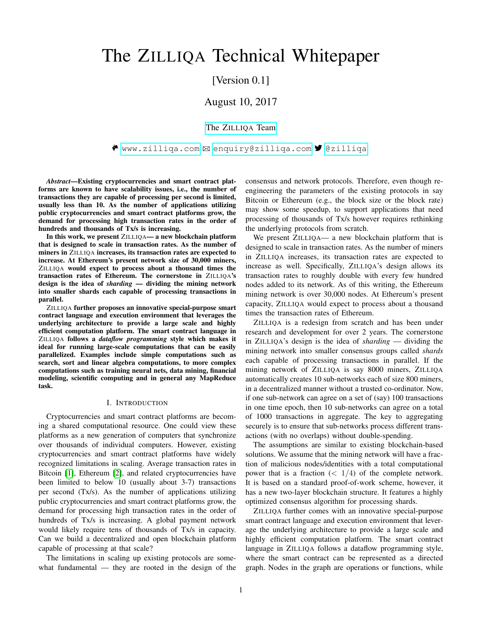# The ZILLIQA Technical Whitepaper

# [Version 0.1]

# August 10, 2017

# [The Z](https://www.zilliqa.com/#the-team)ILLIQA Team

 $\bullet$  www.zilliga.com  $\boxtimes$  enquiry@zilliga.com  $\blacktriangledown$  @zilliga

*Abstract*—Existing cryptocurrencies and smart contract platforms are known to have scalability issues, i.e., the number of transactions they are capable of processing per second is limited, usually less than 10. As the number of applications utilizing public cryptocurrencies and smart contract platforms grow, the demand for processing high transaction rates in the order of hundreds and thousands of Tx/s is increasing.

In this work, we present ZILLIQA— a new blockchain platform that is designed to scale in transaction rates. As the number of miners in ZILLIQA increases, its transaction rates are expected to increase. At Ethereum's present network size of 30,000 miners, ZILLIQA would expect to process about a thousand times the transaction rates of Ethereum. The cornerstone in ZILLIQA's design is the idea of *sharding* — dividing the mining network into smaller shards each capable of processing transactions in parallel.

ZILLIQA further proposes an innovative special-purpose smart contract language and execution environment that leverages the underlying architecture to provide a large scale and highly efficient computation platform. The smart contract language in ZILLIQA follows a *dataflow programming* style which makes it ideal for running large-scale computations that can be easily parallelized. Examples include simple computations such as search, sort and linear algebra computations, to more complex computations such as training neural nets, data mining, financial modeling, scientific computing and in general any MapReduce task.

#### I. INTRODUCTION

Cryptocurrencies and smart contract platforms are becoming a shared computational resource. One could view these platforms as a new generation of computers that synchronize over thousands of individual computers. However, existing cryptocurrencies and smart contract platforms have widely recognized limitations in scaling. Average transaction rates in Bitcoin [\[1\]](#page-10-0), Ethereum [\[2\]](#page-10-1), and related cryptocurrencies have been limited to below 10 (usually about 3-7) transactions per second (Tx/s). As the number of applications utilizing public cryptocurrencies and smart contract platforms grow, the demand for processing high transaction rates in the order of hundreds of Tx/s is increasing. A global payment network would likely require tens of thousands of Tx/s in capacity. Can we build a decentralized and open blockchain platform capable of processing at that scale?

The limitations in scaling up existing protocols are somewhat fundamental — they are rooted in the design of the consensus and network protocols. Therefore, even though reengineering the parameters of the existing protocols in say Bitcoin or Ethereum (e.g., the block size or the block rate) may show some speedup, to support applications that need processing of thousands of Tx/s however requires rethinking the underlying protocols from scratch.

We present ZILLIQA— a new blockchain platform that is designed to scale in transaction rates. As the number of miners in ZILLIQA increases, its transaction rates are expected to increase as well. Specifically, ZILLIQA's design allows its transaction rates to roughly double with every few hundred nodes added to its network. As of this writing, the Ethereum mining network is over 30,000 nodes. At Ethereum's present capacity, ZILLIQA would expect to process about a thousand times the transaction rates of Ethereum.

ZILLIQA is a redesign from scratch and has been under research and development for over 2 years. The cornerstone in ZILLIQA's design is the idea of *sharding* — dividing the mining network into smaller consensus groups called *shards* each capable of processing transactions in parallel. If the mining network of ZILLIQA is say 8000 miners, ZILLIQA automatically creates 10 sub-networks each of size 800 miners, in a decentralized manner without a trusted co-ordinator. Now, if one sub-network can agree on a set of (say) 100 transactions in one time epoch, then 10 sub-networks can agree on a total of 1000 transactions in aggregate. The key to aggregating securely is to ensure that sub-networks process different transactions (with no overlaps) without double-spending.

The assumptions are similar to existing blockchain-based solutions. We assume that the mining network will have a fraction of malicious nodes/identities with a total computational power that is a fraction  $\left( \langle 1/4 \rangle \right)$  of the complete network. It is based on a standard proof-of-work scheme, however, it has a new two-layer blockchain structure. It features a highly optimized consensus algorithm for processing shards.

ZILLIQA further comes with an innovative special-purpose smart contract language and execution environment that leverage the underlying architecture to provide a large scale and highly efficient computation platform. The smart contract language in ZILLIQA follows a dataflow programming style, where the smart contract can be represented as a directed graph. Nodes in the graph are operations or functions, while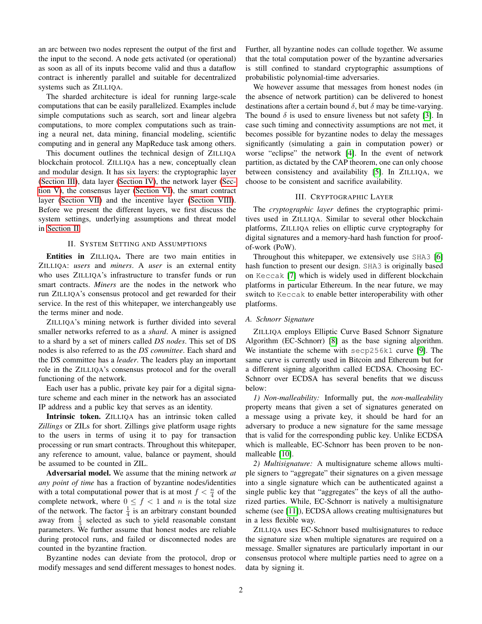an arc between two nodes represent the output of the first and the input to the second. A node gets activated (or operational) as soon as all of its inputs become valid and thus a dataflow contract is inherently parallel and suitable for decentralized systems such as ZILLIQA.

The sharded architecture is ideal for running large-scale computations that can be easily parallelized. Examples include simple computations such as search, sort and linear algebra computations, to more complex computations such as training a neural net, data mining, financial modeling, scientific computing and in general any MapReduce task among others.

This document outlines the technical design of ZILLIQA blockchain protocol. ZILLIQA has a new, conceptually clean and modular design. It has six layers: the cryptographic layer [\(Section III\)](#page-1-0), data layer [\(Section IV\)](#page-2-0), the network layer [\(Sec](#page-4-0)[tion V\)](#page-4-0), the consensus layer [\(Section VI\)](#page-6-0), the smart contract layer [\(Section VII\)](#page-7-0) and the incentive layer [\(Section VIII\)](#page-8-0). Before we present the different layers, we first discuss the system settings, underlying assumptions and threat model in [Section II.](#page-1-1)

# II. SYSTEM SETTING AND ASSUMPTIONS

<span id="page-1-1"></span>Entities in ZILLIQA. There are two main entities in ZILLIQA: *users* and *miners*. A *user* is an external entity who uses ZILLIQA's infrastructure to transfer funds or run smart contracts. *Miners* are the nodes in the network who run ZILLIQA's consensus protocol and get rewarded for their service. In the rest of this whitepaper, we interchangeably use the terms miner and node.

ZILLIQA's mining network is further divided into several smaller networks referred to as a *shard*. A miner is assigned to a shard by a set of miners called *DS nodes*. This set of DS nodes is also referred to as the *DS committee*. Each shard and the DS committee has a *leader*. The leaders play an important role in the ZILLIQA's consensus protocol and for the overall functioning of the network.

Each user has a public, private key pair for a digital signature scheme and each miner in the network has an associated IP address and a public key that serves as an identity.

Intrinsic token. ZILLIQA has an intrinsic token called *Zillings* or ZILs for short. Zillings give platform usage rights to the users in terms of using it to pay for transaction processing or run smart contracts. Throughout this whitepaper, any reference to amount, value, balance or payment, should be assumed to be counted in ZIL.

Adversarial model. We assume that the mining network *at any point of time* has a fraction of byzantine nodes/identities with a total computational power that is at most  $f < \frac{n}{4}$  of the complete network, where  $0 \le f < 1$  and n is the total size of the network. The factor  $\frac{1}{4}$  is an arbitrary constant bounded away from  $\frac{1}{3}$  selected as such to yield reasonable constant parameters. We further assume that honest nodes are reliable during protocol runs, and failed or disconnected nodes are counted in the byzantine fraction.

Byzantine nodes can deviate from the protocol, drop or modify messages and send different messages to honest nodes.

Further, all byzantine nodes can collude together. We assume that the total computation power of the byzantine adversaries is still confined to standard cryptographic assumptions of probabilistic polynomial-time adversaries.

We however assume that messages from honest nodes (in the absence of network partition) can be delivered to honest destinations after a certain bound  $\delta$ , but  $\delta$  may be time-varying. The bound  $\delta$  is used to ensure liveness but not safety [\[3\]](#page-10-2). In case such timing and connectivity assumptions are not met, it becomes possible for byzantine nodes to delay the messages significantly (simulating a gain in computation power) or worse "eclipse" the network [\[4\]](#page-10-3). In the event of network partition, as dictated by the CAP theorem, one can only choose between consistency and availability [\[5\]](#page-10-4). In ZILLIQA, we choose to be consistent and sacrifice availability.

#### III. CRYPTOGRAPHIC LAYER

<span id="page-1-0"></span>The *cryptographic layer* defines the cryptographic primitives used in ZILLIQA. Similar to several other blockchain platforms, ZILLIQA relies on elliptic curve cryptography for digital signatures and a memory-hard hash function for proofof-work (PoW).

Throughout this whitepaper, we extensively use SHA3 [\[6\]](#page-10-5) hash function to present our design. SHA3 is originally based on Keccak [\[7\]](#page-10-6) which is widely used in different blockchain platforms in particular Ethereum. In the near future, we may switch to Keccak to enable better interoperability with other platforms.

#### *A. Schnorr Signature*

ZILLIQA employs Elliptic Curve Based Schnorr Signature Algorithm (EC-Schnorr) [\[8\]](#page-10-7) as the base signing algorithm. We instantiate the scheme with secp256k1 curve [\[9\]](#page-10-8). The same curve is currently used in Bitcoin and Ethereum but for a different signing algorithm called ECDSA. Choosing EC-Schnorr over ECDSA has several benefits that we discuss below:

*1) Non-malleability:* Informally put, the *non-malleability* property means that given a set of signatures generated on a message using a private key, it should be hard for an adversary to produce a new signature for the same message that is valid for the corresponding public key. Unlike ECDSA which is malleable, EC-Schnorr has been proven to be nonmalleable [\[10\]](#page-10-9).

*2) Multisignature:* A multisignature scheme allows multiple signers to "aggregate" their signatures on a given message into a single signature which can be authenticated against a single public key that "aggregates" the keys of all the authorized parties. While, EC-Schnorr is natively a multisignature scheme (see [\[11\]](#page-10-10)), ECDSA allows creating multisignatures but in a less flexible way.

ZILLIQA uses EC-Schnorr based multisignatures to reduce the signature size when multiple signatures are required on a message. Smaller signatures are particularly important in our consensus protocol where multiple parties need to agree on a data by signing it.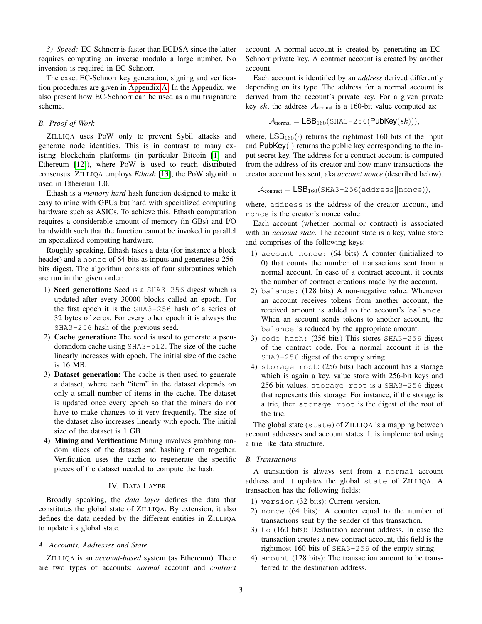*3) Speed:* EC-Schnorr is faster than ECDSA since the latter requires computing an inverse modulo a large number. No inversion is required in EC-Schnorr.

The exact EC-Schnorr key generation, signing and verification procedures are given in [Appendix A.](#page-10-11) In the Appendix, we also present how EC-Schnorr can be used as a multisignature scheme.

# *B. Proof of Work*

ZILLIQA uses PoW only to prevent Sybil attacks and generate node identities. This is in contrast to many existing blockchain platforms (in particular Bitcoin [\[1\]](#page-10-0) and Ethereum [\[12\]](#page-10-12)), where PoW is used to reach distributed consensus. ZILLIQA employs *Ethash* [\[13\]](#page-10-13), the PoW algorithm used in Ethereum 1.0.

Ethash is a *memory hard* hash function designed to make it easy to mine with GPUs but hard with specialized computing hardware such as ASICs. To achieve this, Ethash computation requires a considerable amount of memory (in GBs) and I/O bandwidth such that the function cannot be invoked in parallel on specialized computing hardware.

Roughly speaking, Ethash takes a data (for instance a block header) and a nonce of 64-bits as inputs and generates a 256 bits digest. The algorithm consists of four subroutines which are run in the given order:

- 1) Seed generation: Seed is a SHA3-256 digest which is updated after every 30000 blocks called an epoch. For the first epoch it is the SHA3-256 hash of a series of 32 bytes of zeros. For every other epoch it is always the SHA3-256 hash of the previous seed.
- 2) Cache generation: The seed is used to generate a pseudorandom cache using SHA3-512. The size of the cache linearly increases with epoch. The initial size of the cache is 16 MB.
- 3) Dataset generation: The cache is then used to generate a dataset, where each "item" in the dataset depends on only a small number of items in the cache. The dataset is updated once every epoch so that the miners do not have to make changes to it very frequently. The size of the dataset also increases linearly with epoch. The initial size of the dataset is 1 GB.
- 4) Mining and Verification: Mining involves grabbing random slices of the dataset and hashing them together. Verification uses the cache to regenerate the specific pieces of the dataset needed to compute the hash.

# IV. DATA LAYER

<span id="page-2-0"></span>Broadly speaking, the *data layer* defines the data that constitutes the global state of ZILLIQA. By extension, it also defines the data needed by the different entities in ZILLIQA to update its global state.

#### *A. Accounts, Addresses and State*

ZILLIQA is an *account-based* system (as Ethereum). There are two types of accounts: *normal* account and *contract* account. A normal account is created by generating an EC-Schnorr private key. A contract account is created by another account.

Each account is identified by an *address* derived differently depending on its type. The address for a normal account is derived from the account's private key. For a given private key sk, the address  $A_{normal}$  is a 160-bit value computed as:

$$
\mathcal{A}_{\text{normal}} = \text{LSB}_{160}(\text{SHA3}-256(\text{PubKey}(sk))),
$$

where,  $LSB_{160}(\cdot)$  returns the rightmost 160 bits of the input and  $PubKey(·)$  returns the public key corresponding to the input secret key. The address for a contract account is computed from the address of its creator and how many transactions the creator account has sent, aka *account nonce* (described below).

$$
\mathcal{A}_{\text{contract}} = \text{LSB}_{160}(\text{SHA3-256}(\text{address}||\text{none})),
$$

where, address is the address of the creator account, and nonce is the creator's nonce value.

Each account (whether normal or contract) is associated with an *account state*. The account state is a key, value store and comprises of the following keys:

- 1) account nonce: (64 bits) A counter (initialized to 0) that counts the number of transactions sent from a normal account. In case of a contract account, it counts the number of contract creations made by the account.
- 2) balance: (128 bits) A non-negative value. Whenever an account receives tokens from another account, the received amount is added to the account's balance. When an account sends tokens to another account, the balance is reduced by the appropriate amount.
- 3) code hash: (256 bits) This stores SHA3-256 digest of the contract code. For a normal account it is the SHA3-256 digest of the empty string.
- 4) storage root: (256 bits) Each account has a storage which is again a key, value store with 256-bit keys and 256-bit values. storage root is a SHA3-256 digest that represents this storage. For instance, if the storage is a trie, then storage root is the digest of the root of the trie.

The global state (state) of ZILLIQA is a mapping between account addresses and account states. It is implemented using a trie like data structure.

#### *B. Transactions*

A transaction is always sent from a normal account address and it updates the global state of ZILLIQA. A transaction has the following fields:

- 1) version (32 bits): Current version.
- 2) nonce (64 bits): A counter equal to the number of transactions sent by the sender of this transaction.
- 3) to (160 bits): Destination account address. In case the transaction creates a new contract account, this field is the rightmost 160 bits of SHA3-256 of the empty string.
- 4) amount (128 bits): The transaction amount to be transferred to the destination address.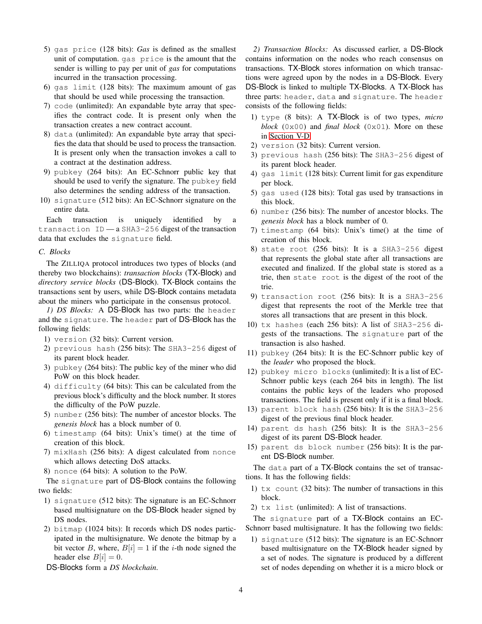- 5) gas price (128 bits): *Gas* is defined as the smallest unit of computation. gas price is the amount that the sender is willing to pay per unit of *gas* for computations incurred in the transaction processing.
- 6) gas limit (128 bits): The maximum amount of gas that should be used while processing the transaction.
- 7) code (unlimited): An expandable byte array that specifies the contract code. It is present only when the transaction creates a new contract account.
- 8) data (unlimited): An expandable byte array that specifies the data that should be used to process the transaction. It is present only when the transaction invokes a call to a contract at the destination address.
- 9) pubkey (264 bits): An EC-Schnorr public key that should be used to verify the signature. The pubkey field also determines the sending address of the transaction.
- 10) signature (512 bits): An EC-Schnorr signature on the entire data.

Each transaction is uniquely identified by a transaction ID — a SHA3-256 digest of the transaction data that excludes the signature field.

# *C. Blocks*

The ZILLIQA protocol introduces two types of blocks (and thereby two blockchains): *transaction blocks* (TX-Block) and *directory service blocks* (DS-Block). TX-Block contains the transactions sent by users, while DS-Block contains metadata about the miners who participate in the consensus protocol.

*1) DS Blocks:* A DS-Block has two parts: the header and the signature. The header part of DS-Block has the following fields:

- 1) version (32 bits): Current version.
- 2) previous hash (256 bits): The SHA3-256 digest of its parent block header.
- 3) pubkey (264 bits): The public key of the miner who did PoW on this block header.
- 4) difficulty (64 bits): This can be calculated from the previous block's difficulty and the block number. It stores the difficulty of the PoW puzzle.
- 5) number (256 bits): The number of ancestor blocks. The *genesis block* has a block number of 0.
- 6) timestamp (64 bits): Unix's time() at the time of creation of this block.
- 7) mixHash (256 bits): A digest calculated from nonce which allows detecting DoS attacks.
- 8) nonce (64 bits): A solution to the PoW.

The signature part of DS-Block contains the following two fields:

- 1) signature (512 bits): The signature is an EC-Schnorr based multisignature on the DS-Block header signed by DS nodes.
- 2) bitmap (1024 bits): It records which DS nodes participated in the multisignature. We denote the bitmap by a bit vector B, where,  $B[i] = 1$  if the *i*-th node signed the header else  $B[i] = 0$ .
- DS-Blocks form a *DS blockchain*.

*2) Transaction Blocks:* As discussed earlier, a DS-Block contains information on the nodes who reach consensus on transactions. TX-Block stores information on which transactions were agreed upon by the nodes in a DS-Block. Every DS-Block is linked to multiple TX-Blocks. A TX-Block has three parts: header, data and signature. The header consists of the following fields:

- 1) type (8 bits): A TX-Block is of two types, *micro block* (0x00) and *final block* (0x01). More on these in [Section V-D.](#page-5-0)
- 2) version (32 bits): Current version.
- 3) previous hash (256 bits): The SHA3-256 digest of its parent block header.
- 4) gas limit (128 bits): Current limit for gas expenditure per block.
- 5) gas used (128 bits): Total gas used by transactions in this block.
- 6) number (256 bits): The number of ancestor blocks. The *genesis block* has a block number of 0.
- 7) timestamp (64 bits): Unix's time() at the time of creation of this block.
- 8) state root (256 bits): It is a SHA3-256 digest that represents the global state after all transactions are executed and finalized. If the global state is stored as a trie, then state root is the digest of the root of the trie.
- 9) transaction root (256 bits): It is a SHA3-256 digest that represents the root of the Merkle tree that stores all transactions that are present in this block.
- 10) tx hashes (each 256 bits): A list of SHA3-256 digests of the transactions. The signature part of the transaction is also hashed.
- 11) pubkey (264 bits): It is the EC-Schnorr public key of the *leader* who proposed the block.
- 12) pubkey micro blocks (unlimited): It is a list of EC-Schnorr public keys (each 264 bits in length). The list contains the public keys of the leaders who proposed transactions. The field is present only if it is a final block.
- 13) parent block hash (256 bits): It is the SHA3-256 digest of the previous final block header.
- 14) parent ds hash (256 bits): It is the SHA3-256 digest of its parent DS-Block header.
- 15) parent ds block number (256 bits): It is the parent DS-Block number.

The data part of a TX-Block contains the set of transactions. It has the following fields:

- 1) tx count (32 bits): The number of transactions in this block.
- 2) tx list (unlimited): A list of transactions.

The signature part of a TX-Block contains an EC-Schnorr based multisignature. It has the following two fields:

1) signature (512 bits): The signature is an EC-Schnorr based multisignature on the TX-Block header signed by a set of nodes. The signature is produced by a different set of nodes depending on whether it is a micro block or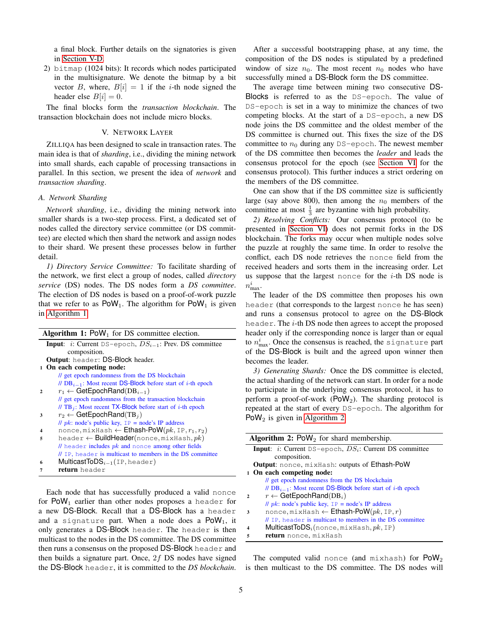a final block. Further details on the signatories is given in [Section V-D.](#page-5-0)

2) bitmap (1024 bits): It records which nodes participated in the multisignature. We denote the bitmap by a bit vector B, where,  $B[i] = 1$  if the *i*-th node signed the header else  $B[i] = 0$ .

The final blocks form the *transaction blockchain*. The transaction blockchain does not include micro blocks.

#### V. NETWORK LAYER

<span id="page-4-0"></span>ZILLIQA has been designed to scale in transaction rates. The main idea is that of *sharding*, i.e., dividing the mining network into small shards, each capable of processing transactions in parallel. In this section, we present the idea of *network* and *transaction sharding*.

#### <span id="page-4-3"></span>*A. Network Sharding*

*Network sharding*, i.e., dividing the mining network into smaller shards is a two-step process. First, a dedicated set of nodes called the directory service committee (or DS committee) are elected which then shard the network and assign nodes to their shard. We present these processes below in further detail.

*1) Directory Service Committee:* To facilitate sharding of the network, we first elect a group of nodes, called *directory service* (DS) nodes. The DS nodes form a *DS committee*. The election of DS nodes is based on a proof-of-work puzzle that we refer to as  $PoW_1$ . The algorithm for  $PoW_1$  is given in [Algorithm 1.](#page-4-1)

<span id="page-4-1"></span>

| <b>Algorithm 1:</b> PoW <sub>1</sub> for DS committee election. |                                                                              |  |
|-----------------------------------------------------------------|------------------------------------------------------------------------------|--|
|                                                                 | <b>Input:</b> <i>i</i> : Current DS-epoch, $DS_{i-1}$ : Prev. DS committee   |  |
|                                                                 | composition.                                                                 |  |
|                                                                 | <b>Output:</b> header: DS-Block header.                                      |  |
|                                                                 | 1 On each competing node:                                                    |  |
|                                                                 | // get epoch randomness from the DS blockchain                               |  |
|                                                                 | // $DB_{i-1}$ : Most recent DS-Block before start of <i>i</i> -th epoch      |  |
| $\mathcal{P}$                                                   | $r_1 \leftarrow$ GetEpochRand(DB <sub>i-1</sub> )                            |  |
|                                                                 | // get epoch randomness from the transaction blockchain                      |  |
|                                                                 | // TB <sub>i</sub> : Most recent TX-Block before start of <i>i</i> -th epoch |  |
| 3                                                               | $r_2 \leftarrow$ GetEpochRand(TB <sub>i</sub> )                              |  |
|                                                                 | // $pk$ : node's public key, $IP = node's IP$ address                        |  |
|                                                                 | nonce, mixHash $\leftarrow$ Ethash-PoW(pk, IP, $r_1, r_2$ )                  |  |
| 5                                                               | header $\leftarrow$ <b>BuildHeader</b> (nonce, mixHash, pk)                  |  |
|                                                                 | $\ell$ header includes $pk$ and nonce among other fields                     |  |
|                                                                 | // IP, header is multicast to members in the DS committee                    |  |
| 6                                                               | <b>MulticastToDS</b> $_{i-1}$ (IP, header)                                   |  |
|                                                                 | return header                                                                |  |

Each node that has successfully produced a valid nonce for  $\text{PoW}_1$  earlier than other nodes proposes a header for a new DS-Block. Recall that a DS-Block has a header and a signature part. When a node does a  $\text{PoW}_1$ , it only generates a DS-Block header. The header is then multicast to the nodes in the DS committee. The DS committee then runs a consensus on the proposed DS-Block header and then builds a signature part. Once,  $2f$  DS nodes have signed the DS-Block header, it is committed to the *DS blockchain*.

After a successful bootstrapping phase, at any time, the composition of the DS nodes is stipulated by a predefined window of size  $n_0$ . The most recent  $n_0$  nodes who have successfully mined a DS-Block form the DS committee.

The average time between mining two consecutive DS-Blocks is referred to as the DS-epoch. The value of DS-epoch is set in a way to minimize the chances of two competing blocks. At the start of a DS-epoch, a new DS node joins the DS committee and the oldest member of the DS committee is churned out. This fixes the size of the DS committee to  $n_0$  during any DS-epoch. The newest member of the DS committee then becomes the *leader* and leads the consensus protocol for the epoch (see [Section VI](#page-6-0) for the consensus protocol). This further induces a strict ordering on the members of the DS committee.

One can show that if the DS committee size is sufficiently large (say above 800), then among the  $n_0$  members of the committee at most  $\frac{1}{3}$  are byzantine with high probability.

*2) Resolving Conflicts:* Our consensus protocol (to be presented in [Section VI\)](#page-6-0) does not permit forks in the DS blockchain. The forks may occur when multiple nodes solve the puzzle at roughly the same time. In order to resolve the conflict, each DS node retrieves the nonce field from the received headers and sorts them in the increasing order. Let us suppose that the largest nonce for the  $i$ -th DS node is  $n_{\max}^i$ .

The leader of the DS committee then proposes his own header (that corresponds to the largest nonce he has seen) and runs a consensus protocol to agree on the DS-Block header. The i-th DS node then agrees to accept the proposed header only if the corresponding nonce is larger than or equal to  $n_{\max}^i.$  Once the consensus is reached, the signature part of the DS-Block is built and the agreed upon winner then becomes the leader.

*3) Generating Shards:* Once the DS committee is elected, the actual sharding of the network can start. In order for a node to participate in the underlying consensus protocol, it has to perform a proof-of-work ( $\text{PoW}_2$ ). The sharding protocol is repeated at the start of every DS-epoch. The algorithm for PoW<sub>2</sub> is given in [Algorithm 2.](#page-4-2)

<span id="page-4-2"></span>

| <b>Algorithm 2:</b> PoW <sub>2</sub> for shard membership.               |                                                                         |  |
|--------------------------------------------------------------------------|-------------------------------------------------------------------------|--|
| <b>Input:</b> <i>i</i> : Current DS-epoch, $DS_i$ : Current DS committee |                                                                         |  |
|                                                                          | composition.                                                            |  |
| Output: nonce, mixHash: outputs of Ethash-PoW                            |                                                                         |  |
|                                                                          | 1 On each competing node:                                               |  |
|                                                                          | // get epoch randomness from the DS blockchain                          |  |
|                                                                          | // $DB_{i-1}$ : Most recent DS-Block before start of <i>i</i> -th epoch |  |
| $\mathbf{v}$                                                             | $r \leftarrow$ GetEpochRand(DB <sub>i</sub> )                           |  |
|                                                                          | // $pk$ : node's public key, $IP = node's IP$ address                   |  |
| 3                                                                        | nonce, mixHash $\leftarrow$ Ethash-PoW $(pk, \text{IP}, r)$             |  |
|                                                                          | // IP, header is multicast to members in the DS committee               |  |
|                                                                          | <b>MulticastToDS</b> <sub>i</sub> (nonce, mixHash, $pk$ , IP)           |  |
| 5                                                                        | return nonce, mixHash                                                   |  |

The computed valid nonce (and mixhash) for  $\text{PoW}_2$ is then multicast to the DS committee. The DS nodes will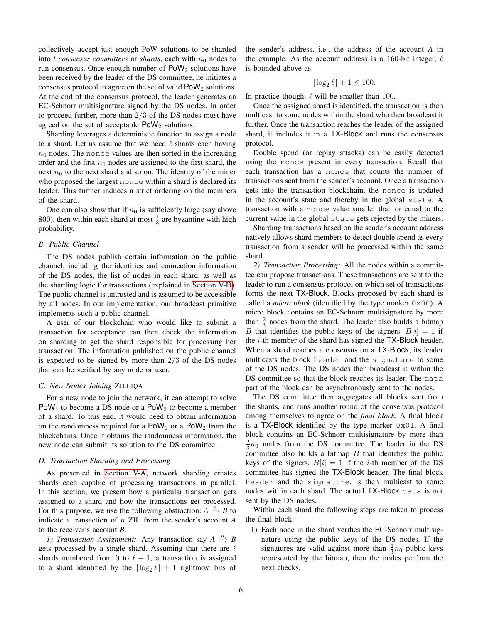collectively accept just enough PoW solutions to be sharded into  $l$  *consensus committees* or *shards*, each with  $n_0$  nodes to run consensus. Once enough number of  $\text{PoW}_2$  solutions have been received by the leader of the DS committee, he initiates a consensus protocol to agree on the set of valid  $\text{PoW}_2$  solutions. At the end of the consensus protocol, the leader generates an EC-Schnorr multisignature signed by the DS nodes. In order to proceed further, more than 2/3 of the DS nodes must have agreed on the set of acceptable  $PoW_2$  solutions.

Sharding leverages a deterministic function to assign a node to a shard. Let us assume that we need  $\ell$  shards each having  $n_0$  nodes. The nonce values are then sorted in the increasing order and the first  $n_0$  nodes are assigned to the first shard, the next  $n_0$  to the next shard and so on. The identity of the miner who proposed the largest nonce within a shard is declared its leader. This further induces a strict ordering on the members of the shard.

One can also show that if  $n_0$  is sufficiently large (say above 800), then within each shard at most  $\frac{1}{3}$  are byzantine with high probability.

#### *B. Public Channel*

The DS nodes publish certain information on the public channel, including the identities and connection information of the DS nodes, the list of nodes in each shard, as well as the sharding logic for transactions (explained in [Section V-D\)](#page-5-0). The public channel is untrusted and is assumed to be accessible by all nodes. In our implementation, our broadcast primitive implements such a public channel.

A user of our blockchain who would like to submit a transaction for acceptance can then check the information on sharding to get the shard responsible for processing her transaction. The information published on the public channel is expected to be signed by more than  $2/3$  of the DS nodes that can be verified by any node or user.

#### *C. New Nodes Joining* ZILLIQA

For a new node to join the network, it can attempt to solve  $\text{PoW}_1$  to become a DS node or a  $\text{PoW}_2$  to become a member of a shard. To this end, it would need to obtain information on the randomness required for a  $PoW_1$  or a  $PoW_2$  from the blockchains. Once it obtains the randomness information, the new node can submit its solution to the DS committee.

#### <span id="page-5-0"></span>*D. Transaction Sharding and Processing*

As presented in [Section V-A,](#page-4-3) network sharding creates shards each capable of processing transactions in parallel. In this section, we present how a particular transaction gets assigned to a shard and how the transactions get processed. For this purpose, we use the following abstraction:  $A \stackrel{n}{\rightarrow} B$  to indicate a transaction of n ZIL from the sender's account *A* to the receiver's account *B*.

*1) Transaction Assignment:* Any transaction say  $A \stackrel{n}{\rightarrow} B$ gets processed by a single shard. Assuming that there are  $\ell$ shards numbered from 0 to  $\ell - 1$ , a transaction is assigned to a shard identified by the  $\lfloor \log_2 \ell \rfloor + 1$  rightmost bits of the sender's address, i.e., the address of the account *A* in the example. As the account address is a 160-bit integer,  $\ell$ is bounded above as:

$$
\lfloor \log_2 \ell \rfloor + 1 \le 160.
$$

In practice though,  $\ell$  will be smaller than 100.

Once the assigned shard is identified, the transaction is then multicast to some nodes within the shard who then broadcast it further. Once the transaction reaches the leader of the assigned shard, it includes it in a TX-Block and runs the consensus protocol.

Double spend (or replay attacks) can be easily detected using the nonce present in every transaction. Recall that each transaction has a nonce that counts the number of transactions sent from the sender's account. Once a transaction gets into the transaction blockchain, the nonce is updated in the account's state and thereby in the global state. A transaction with a nonce value smaller than or equal to the current value in the global state gets rejected by the miners.

Sharding transactions based on the sender's account address natively allows shard members to detect double spend as every transaction from a sender will be processed within the same shard.

*2) Transaction Processing:* All the nodes within a committee can propose transactions. These transactions are sent to the leader to run a consensus protocol on which set of transactions forms the next TX-Block. Blocks proposed by each shard is called a *micro block* (identified by the type marker 0x00). A micro block contains an EC-Schnorr multisignature by more than  $\frac{2}{3}$  nodes from the shard. The leader also builds a bitmap B that identifies the public keys of the signers.  $B[i] = 1$  if the i-th member of the shard has signed the TX-Block header. When a shard reaches a consensus on a TX-Block, its leader multicasts the block header and the signature to some of the DS nodes. The DS nodes then broadcast it within the DS committee so that the block reaches its leader. The data part of the block can be asynchronously sent to the nodes.

The DS committee then aggregates all blocks sent from the shards, and runs another round of the consensus protocol among themselves to agree on the *final block*. A final block is a TX-Block identified by the type marker  $0 \times 01$ . A final block contains an EC-Schnorr multisignature by more than  $\frac{2}{3}n_0$  nodes from the DS committee. The leader in the DS committee also builds a bitmap  $B$  that identifies the public keys of the signers.  $B[i] = 1$  if the *i*-th member of the DS committee has signed the TX-Block header. The final block header and the signature, is then multicast to some nodes within each shard. The actual TX-Block data is not sent by the DS nodes.

Within each shard the following steps are taken to process the final block:

1) Each node in the shard verifies the EC-Schnorr multisignature using the public keys of the DS nodes. If the signatures are valid against more than  $\frac{2}{3}n_0$  public keys represented by the bitmap, then the nodes perform the next checks.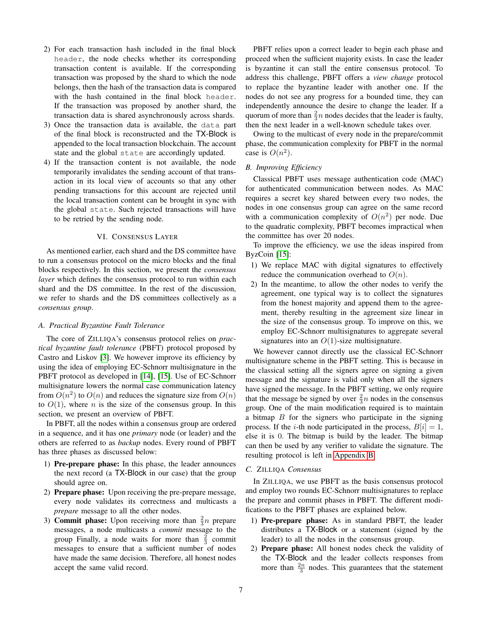- 2) For each transaction hash included in the final block header, the node checks whether its corresponding transaction content is available. If the corresponding transaction was proposed by the shard to which the node belongs, then the hash of the transaction data is compared with the hash contained in the final block header. If the transaction was proposed by another shard, the transaction data is shared asynchronously across shards.
- 3) Once the transaction data is available, the data part of the final block is reconstructed and the TX-Block is appended to the local transaction blockchain. The account state and the global state are accordingly updated.
- 4) If the transaction content is not available, the node temporarily invalidates the sending account of that transaction in its local view of accounts so that any other pending transactions for this account are rejected until the local transaction content can be brought in sync with the global state. Such rejected transactions will have to be retried by the sending node.

#### VI. CONSENSUS LAYER

<span id="page-6-0"></span>As mentioned earlier, each shard and the DS committee have to run a consensus protocol on the micro blocks and the final blocks respectively. In this section, we present the *consensus layer* which defines the consensus protocol to run within each shard and the DS committee. In the rest of the discussion, we refer to shards and the DS committees collectively as a *consensus group*.

# *A. Practical Byzantine Fault Tolerance*

The core of ZILLIQA's consensus protocol relies on *practical byzantine fault tolerance* (PBFT) protocol proposed by Castro and Liskov [\[3\]](#page-10-2). We however improve its efficiency by using the idea of employing EC-Schnorr multisignature in the PBFT protocol as developed in [\[14\]](#page-10-14), [\[15\]](#page-10-15). Use of EC-Schnorr multisignature lowers the normal case communication latency from  $O(n^2)$  to  $O(n)$  and reduces the signature size from  $O(n)$ to  $O(1)$ , where *n* is the size of the consensus group. In this section, we present an overview of PBFT.

In PBFT, all the nodes within a consensus group are ordered in a sequence, and it has one *primary* node (or leader) and the others are referred to as *backup* nodes. Every round of PBFT has three phases as discussed below:

- 1) Pre-prepare phase: In this phase, the leader announces the next record (a TX-Block in our case) that the group should agree on.
- 2) Prepare phase: Upon receiving the pre-prepare message, every node validates its correctness and multicasts a *prepare* message to all the other nodes.
- 3) **Commit phase:** Upon receiving more than  $\frac{2}{3}n$  prepare messages, a node multicasts a *commit* message to the group Finally, a node waits for more than  $\frac{2}{3}$  commit messages to ensure that a sufficient number of nodes have made the same decision. Therefore, all honest nodes accept the same valid record.

PBFT relies upon a correct leader to begin each phase and proceed when the sufficient majority exists. In case the leader is byzantine it can stall the entire consensus protocol. To address this challenge, PBFT offers a *view change* protocol to replace the byzantine leader with another one. If the nodes do not see any progress for a bounded time, they can independently announce the desire to change the leader. If a quorum of more than  $\frac{2}{3}n$  nodes decides that the leader is faulty, then the next leader in a well-known schedule takes over.

Owing to the multicast of every node in the prepare/commit phase, the communication complexity for PBFT in the normal case is  $O(n^2)$ .

# *B. Improving Efficiency*

Classical PBFT uses message authentication code (MAC) for authenticated communication between nodes. As MAC requires a secret key shared between every two nodes, the nodes in one consensus group can agree on the same record with a communication complexity of  $O(n^2)$  per node. Due to the quadratic complexity, PBFT becomes impractical when the committee has over 20 nodes.

To improve the efficiency, we use the ideas inspired from ByzCoin [\[15\]](#page-10-15):

- 1) We replace MAC with digital signatures to effectively reduce the communication overhead to  $O(n)$ .
- 2) In the meantime, to allow the other nodes to verify the agreement, one typical way is to collect the signatures from the honest majority and append them to the agreement, thereby resulting in the agreement size linear in the size of the consensus group. To improve on this, we employ EC-Schnorr multisignatures to aggregate several signatures into an  $O(1)$ -size multisignature.

We however cannot directly use the classical EC-Schnorr multisignature scheme in the PBFT setting. This is because in the classical setting all the signers agree on signing a given message and the signature is valid only when all the signers have signed the message. In the PBFT setting, we only require that the message be signed by over  $\frac{2}{3}n$  nodes in the consensus group. One of the main modification required is to maintain a bitmap  $B$  for the signers who participate in the signing process. If the *i*-th node participated in the process,  $B[i] = 1$ , else it is 0. The bitmap is build by the leader. The bitmap can then be used by any verifier to validate the signature. The resulting protocol is left in [Appendix B.](#page-11-0)

#### *C.* ZILLIQA *Consensus*

In ZILLIQA, we use PBFT as the basis consensus protocol and employ two rounds EC-Schnorr multisignatures to replace the prepare and commit phases in PBFT. The different modifications to the PBFT phases are explained below.

- 1) Pre-prepare phase: As in standard PBFT, the leader distributes a TX-Block or a statement (signed by the leader) to all the nodes in the consensus group.
- 2) Prepare phase: All honest nodes check the validity of the TX-Block and the leader collects responses from more than  $\frac{2n}{3}$  nodes. This guarantees that the statement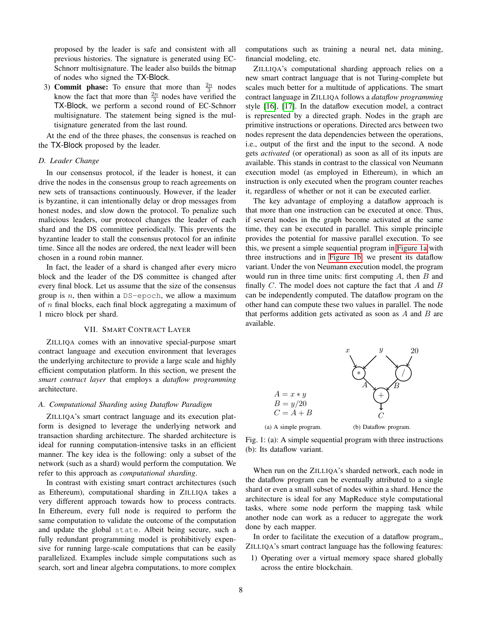proposed by the leader is safe and consistent with all previous histories. The signature is generated using EC-Schnorr multisignature. The leader also builds the bitmap of nodes who signed the TX-Block.

3) **Commit phase:** To ensure that more than  $\frac{2n}{3}$  nodes know the fact that more than  $\frac{2n}{3}$  nodes have verified the TX-Block, we perform a second round of EC-Schnorr multisignature. The statement being signed is the multisignature generated from the last round.

At the end of the three phases, the consensus is reached on the TX-Block proposed by the leader.

# *D. Leader Change*

In our consensus protocol, if the leader is honest, it can drive the nodes in the consensus group to reach agreements on new sets of transactions continuously. However, if the leader is byzantine, it can intentionally delay or drop messages from honest nodes, and slow down the protocol. To penalize such malicious leaders, our protocol changes the leader of each shard and the DS committee periodically. This prevents the byzantine leader to stall the consensus protocol for an infinite time. Since all the nodes are ordered, the next leader will been chosen in a round robin manner.

In fact, the leader of a shard is changed after every micro block and the leader of the DS committee is changed after every final block. Let us assume that the size of the consensus group is  $n$ , then within a DS-epoch, we allow a maximum of  $n$  final blocks, each final block aggregating a maximum of 1 micro block per shard.

# VII. SMART CONTRACT LAYER

<span id="page-7-0"></span>ZILLIQA comes with an innovative special-purpose smart contract language and execution environment that leverages the underlying architecture to provide a large scale and highly efficient computation platform. In this section, we present the *smart contract layer* that employs a *dataflow programming* architecture.

#### *A. Computational Sharding using Dataflow Paradigm*

ZILLIQA's smart contract language and its execution platform is designed to leverage the underlying network and transaction sharding architecture. The sharded architecture is ideal for running computation-intensive tasks in an efficient manner. The key idea is the following: only a subset of the network (such as a shard) would perform the computation. We refer to this approach as *computational sharding*.

In contrast with existing smart contract architectures (such as Ethereum), computational sharding in ZILLIQA takes a very different approach towards how to process contracts. In Ethereum, every full node is required to perform the same computation to validate the outcome of the computation and update the global state. Albeit being secure, such a fully redundant programming model is prohibitively expensive for running large-scale computations that can be easily parallelized. Examples include simple computations such as search, sort and linear algebra computations, to more complex computations such as training a neural net, data mining, financial modeling, etc.

ZILLIQA's computational sharding approach relies on a new smart contract language that is not Turing-complete but scales much better for a multitude of applications. The smart contract language in ZILLIQA follows a *dataflow programming* style [\[16\]](#page-10-16), [\[17\]](#page-10-17). In the dataflow execution model, a contract is represented by a directed graph. Nodes in the graph are primitive instructions or operations. Directed arcs between two nodes represent the data dependencies between the operations, i.e., output of the first and the input to the second. A node gets *activated* (or operational) as soon as all of its inputs are available. This stands in contrast to the classical von Neumann execution model (as employed in Ethereum), in which an instruction is only executed when the program counter reaches it, regardless of whether or not it can be executed earlier.

The key advantage of employing a dataflow approach is that more than one instruction can be executed at once. Thus, if several nodes in the graph become activated at the same time, they can be executed in parallel. This simple principle provides the potential for massive parallel execution. To see this, we present a simple sequential program in [Figure 1a](#page-7-1) with three instructions and in [Figure 1b,](#page-7-2) we present its dataflow variant. Under the von Neumann execution model, the program would run in three time units: first computing  $A$ , then  $B$  and finally  $C$ . The model does not capture the fact that  $A$  and  $B$ can be independently computed. The dataflow program on the other hand can compute these two values in parallel. The node that performs addition gets activated as soon as  $A$  and  $B$  are available.

<span id="page-7-1"></span>

<span id="page-7-2"></span>

When run on the ZILLIQA's sharded network, each node in the dataflow program can be eventually attributed to a single shard or even a small subset of nodes within a shard. Hence the architecture is ideal for any MapReduce style computational tasks, where some node perform the mapping task while another node can work as a reducer to aggregate the work done by each mapper.

In order to facilitate the execution of a dataflow program,, ZILLIQA's smart contract language has the following features:

1) Operating over a virtual memory space shared globally across the entire blockchain.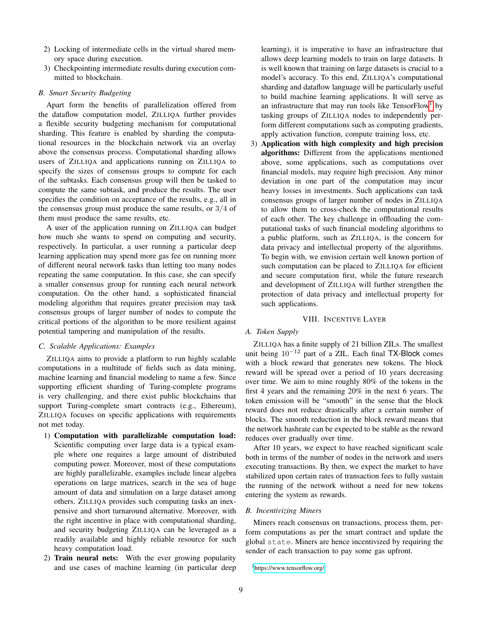- 2) Locking of intermediate cells in the virtual shared memory space during execution.
- 3) Checkpointing intermediate results during execution committed to blockchain.

#### *B. Smart Security Budgeting*

Apart form the benefits of parallelization offered from the dataflow computation model, ZILLIQA further provides a flexible security budgeting mechanism for computational sharding. This feature is enabled by sharding the computational resources in the blockchain network via an overlay above the consensus process. Computational sharding allows users of ZILLIQA and applications running on ZILLIQA to specify the sizes of consensus groups to compute for each of the subtasks. Each consensus group will then be tasked to compute the same subtask, and produce the results. The user specifies the condition on acceptance of the results, e.g., all in the consensus group must produce the same results, or 3/4 of them must produce the same results, etc.

A user of the application running on ZILLIQA can budget how much she wants to spend on computing and security, respectively. In particular, a user running a particular deep learning application may spend more gas fee on running more of different neural network tasks than letting too many nodes repeating the same computation. In this case, she can specify a smaller consensus group for running each neural network computation. On the other hand, a sophisticated financial modeling algorithm that requires greater precision may task consensus groups of larger number of nodes to compute the critical portions of the algorithm to be more resilient against potential tampering and manipulation of the results.

# *C. Scalable Applications: Examples*

ZILLIQA aims to provide a platform to run highly scalable computations in a multitude of fields such as data mining, machine learning and financial modeling to name a few. Since supporting efficient sharding of Turing-complete programs is very challenging, and there exist public blockchains that support Turing-complete smart contracts (e.g., Ethereum), ZILLIQA focuses on specific applications with requirements not met today.

- 1) Computation with parallelizable computation load: Scientific computing over large data is a typical example where one requires a large amount of distributed computing power. Moreover, most of these computations are highly parallelizable, examples include linear algebra operations on large matrices, search in the sea of huge amount of data and simulation on a large dataset among others. ZILLIQA provides such computing tasks an inexpensive and short turnaround alternative. Moreover, with the right incentive in place with computational sharding, and security budgeting ZILLIQA can be leveraged as a readily available and highly reliable resource for such heavy computation load.
- 2) Train neural nets: With the ever growing popularity and use cases of machine learning (in particular deep

learning), it is imperative to have an infrastructure that allows deep learning models to train on large datasets. It is well known that training on large datasets is crucial to a model's accuracy. To this end, ZILLIQA's computational sharding and dataflow language will be particularly useful to build machine learning applications. It will serve as an infrastructure that may run tools like  $TensorFlow<sup>1</sup>$  $TensorFlow<sup>1</sup>$  $TensorFlow<sup>1</sup>$  by tasking groups of ZILLIQA nodes to independently perform different computations such as computing gradients, apply activation function, compute training loss, etc.

3) Application with high complexity and high precision algorithms: Different from the applications mentioned above, some applications, such as computations over financial models, may require high precision. Any minor deviation in one part of the computation may incur heavy losses in investments. Such applications can task consensus groups of larger number of nodes in ZILLIQA to allow them to cross-check the computational results of each other. The key challenge in offloading the computational tasks of such financial modeling algorithms to a public platform, such as ZILLIQA, is the concern for data privacy and intellectual property of the algorithms. To begin with, we envision certain well known portion of such computation can be placed to ZILLIQA for efficient and secure computation first, while the future research and development of ZILLIQA will further strengthen the protection of data privacy and intellectual property for such applications.

#### VIII. INCENTIVE LAYER

#### <span id="page-8-0"></span>*A. Token Supply*

ZILLIQA has a finite supply of 21 billion ZILs. The smallest unit being 10<sup>−</sup><sup>12</sup> part of a ZIL. Each final TX-Block comes with a block reward that generates new tokens. The block reward will be spread over a period of 10 years decreasing over time. We aim to mine roughly 80% of the tokens in the first 4 years and the remaining 20% in the next 6 years. The token emission will be "smooth" in the sense that the block reward does not reduce drastically after a certain number of blocks. The smooth reduction in the block reward means that the network hashrate can be expected to be stable as the reward reduces over gradually over time.

After 10 years, we expect to have reached significant scale both in terms of the number of nodes in the network and users executing transactions. By then, we expect the market to have stabilized upon certain rates of transaction fees to fully sustain the running of the network without a need for new tokens entering the system as rewards.

# *B. Incentivizing Miners*

Miners reach consensus on transactions, process them, perform computations as per the smart contract and update the global state. Miners are hence incentivized by requiring the sender of each transaction to pay some gas upfront.

<span id="page-8-1"></span><sup>1</sup><https://www.tensorflow.org/>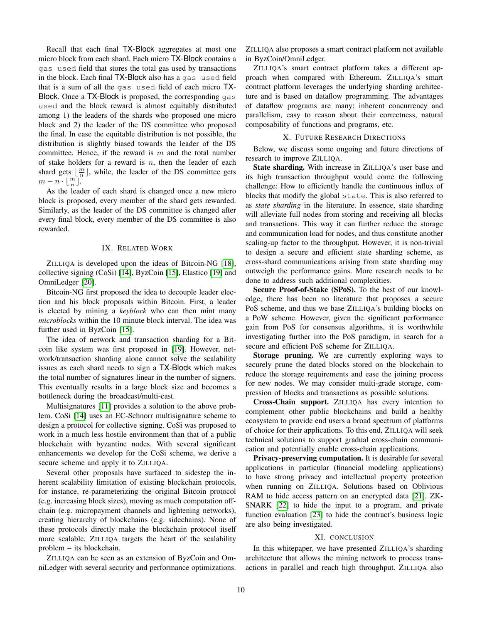Recall that each final TX-Block aggregates at most one micro block from each shard. Each micro TX-Block contains a gas used field that stores the total gas used by transactions in the block. Each final TX-Block also has a gas used field that is a sum of all the gas used field of each micro TX-Block. Once a TX-Block is proposed, the corresponding gas used and the block reward is almost equitably distributed among 1) the leaders of the shards who proposed one micro block and 2) the leader of the DS committee who proposed the final. In case the equitable distribution is not possible, the distribution is slightly biased towards the leader of the DS committee. Hence, if the reward is  $m$  and the total number of stake holders for a reward is  $n$ , then the leader of each shard gets  $\lfloor \frac{m}{n} \rfloor$ , while, the leader of the DS committee gets share gets  $\lfloor \frac{n}{n} \rfloor$ .

As the leader of each shard is changed once a new micro block is proposed, every member of the shard gets rewarded. Similarly, as the leader of the DS committee is changed after every final block, every member of the DS committee is also rewarded.

# IX. RELATED WORK

ZILLIQA is developed upon the ideas of Bitcoin-NG [\[18\]](#page-10-18), collective signing (CoSi) [\[14\]](#page-10-14), ByzCoin [\[15\]](#page-10-15), Elastico [\[19\]](#page-10-19) and OmniLedger [\[20\]](#page-10-20).

Bitcoin-NG first proposed the idea to decouple leader election and his block proposals within Bitcoin. First, a leader is elected by mining a *keyblock* who can then mint many *microblocks* within the 10 minute block interval. The idea was further used in ByzCoin [\[15\]](#page-10-15).

The idea of network and transaction sharding for a Bitcoin like system was first proposed in [\[19\]](#page-10-19). However, network/transaction sharding alone cannot solve the scalability issues as each shard needs to sign a TX-Block which makes the total number of signatures linear in the number of signers. This eventually results in a large block size and becomes a bottleneck during the broadcast/multi-cast.

Multisignatures [\[11\]](#page-10-10) provides a solution to the above problem. CoSi [\[14\]](#page-10-14) uses an EC-Schnorr multisignature scheme to design a protocol for collective signing. CoSi was proposed to work in a much less hostile environment than that of a public blockchain with byzantine nodes. With several significant enhancements we develop for the CoSi scheme, we derive a secure scheme and apply it to ZILLIQA.

Several other proposals have surfaced to sidestep the inherent scalability limitation of existing blockchain protocols, for instance, re-parameterizing the original Bitcoin protocol (e.g. increasing block sizes), moving as much computation offchain (e.g. micropayment channels and lightening networks), creating hierarchy of blockchains (e.g. sidechains). None of these protocols directly make the blockchain protocol itself more scalable. ZILLIQA targets the heart of the scalability problem – its blockchain.

ZILLIQA can be seen as an extension of ByzCoin and OmniLedger with several security and performance optimizations. ZILLIQA also proposes a smart contract platform not available in ByzCoin/OmniLedger.

ZILLIQA's smart contract platform takes a different approach when compared with Ethereum. ZILLIQA's smart contract platform leverages the underlying sharding architecture and is based on dataflow programming. The advantages of dataflow programs are many: inherent concurrency and parallelism, easy to reason about their correctness, natural composability of functions and programs, etc.

# X. FUTURE RESEARCH DIRECTIONS

Below, we discuss some ongoing and future directions of research to improve ZILLIQA.

State sharding. With increase in ZILLIQA's user base and its high transaction throughput would come the following challenge: How to efficiently handle the continuous influx of blocks that modify the global state. This is also referred to as *state sharding* in the literature. In essence, state sharding will alleviate full nodes from storing and receiving all blocks and transactions. This way it can further reduce the storage and communication load for nodes, and thus constitute another scaling-up factor to the throughput. However, it is non-trivial to design a secure and efficient state sharding scheme, as cross-shard communications arising from state sharding may outweigh the performance gains. More research needs to be done to address such additional complexities.

Secure Proof-of-Stake (SPoS). To the best of our knowledge, there has been no literature that proposes a secure PoS scheme, and thus we base ZILLIQA's building blocks on a PoW scheme. However, given the significant performance gain from PoS for consensus algorithms, it is worthwhile investigating further into the PoS paradigm, in search for a secure and efficient PoS scheme for ZILLIQA.

Storage pruning. We are currently exploring ways to securely prune the dated blocks stored on the blockchain to reduce the storage requirements and ease the joining process for new nodes. We may consider multi-grade storage, compression of blocks and transactions as possible solutions.

Cross-Chain support. ZILLIQA has every intention to complement other public blockchains and build a healthy ecosystem to provide end users a broad spectrum of platforms of choice for their applications. To this end, ZILLIQA will seek technical solutions to support gradual cross-chain communication and potentially enable cross-chain applications.

Privacy-preserving computation. It is desirable for several applications in particular (financial modeling applications) to have strong privacy and intellectual property protection when running on ZILLIQA. Solutions based on Oblivious RAM to hide access pattern on an encrypted data [\[21\]](#page-10-21), ZK-SNARK [\[22\]](#page-10-22) to hide the input to a program, and private function evaluation [\[23\]](#page-10-23) to hide the contract's business logic are also being investigated.

#### XI. CONCLUSION

In this whitepaper, we have presented ZILLIQA's sharding architecture that allows the mining network to process transactions in parallel and reach high throughput. ZILLIQA also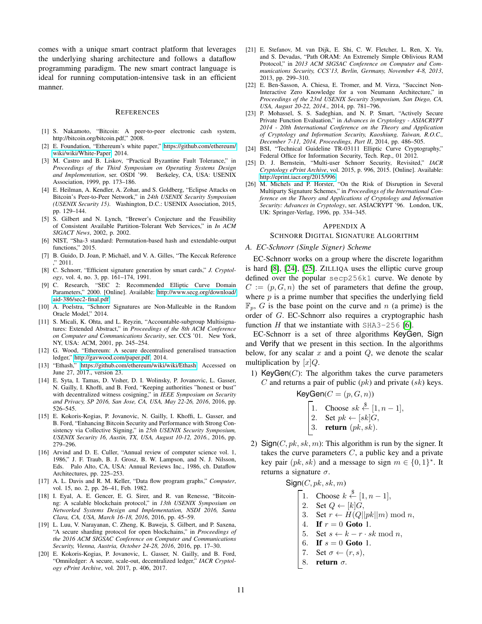comes with a unique smart contract platform that leverages the underlying sharing architecture and follows a dataflow programming paradigm. The new smart contract language is ideal for running computation-intensive task in an efficient manner.

#### REFERENCES

- <span id="page-10-0"></span>[1] S. Nakamoto, "Bitcoin: A peer-to-peer electronic cash system, http://bitcoin.org/bitcoin.pdf," 2008.
- <span id="page-10-1"></span>[2] E. Foundation, "Ethereum's white paper," [https://github.com/ethereum/](https://github.com/ethereum/wiki/wiki/White-Paper) [wiki/wiki/White-Paper,](https://github.com/ethereum/wiki/wiki/White-Paper) 2014.
- <span id="page-10-2"></span>[3] M. Castro and B. Liskov, "Practical Byzantine Fault Tolerance," in *Proceedings of the Third Symposium on Operating Systems Design and Implementation*, ser. OSDI '99. Berkeley, CA, USA: USENIX Association, 1999, pp. 173–186.
- <span id="page-10-3"></span>[4] E. Heilman, A. Kendler, A. Zohar, and S. Goldberg, "Eclipse Attacks on Bitcoin's Peer-to-Peer Network," in *24th USENIX Security Symposium (USENIX Security 15)*. Washington, D.C.: USENIX Association, 2015, pp. 129–144.
- <span id="page-10-4"></span>[5] S. Gilbert and N. Lynch, "Brewer's Conjecture and the Feasibility of Consistent Available Partition-Tolerant Web Services," in *In ACM SIGACT News*, 2002, p. 2002.
- <span id="page-10-5"></span>[6] NIST, "Sha-3 standard: Permutation-based hash and extendable-output functions," 2015.
- <span id="page-10-6"></span>[7] B. Guido, D. Joan, P. Michaël, and V. A. Gilles, "The Keccak Reference ," 2011.
- <span id="page-10-7"></span>[8] C. Schnorr, "Efficient signature generation by smart cards," *J. Cryptology*, vol. 4, no. 3, pp. 161–174, 1991.
- <span id="page-10-8"></span>[9] C. Research, "SEC 2: Recommended Elliptic Curve Domain Parameters," 2000. [Online]. Available: [http://www.secg.org/download/](http://www.secg.org/download/aid-386/sec2-final.pdf) [aid-386/sec2-final.pdf](http://www.secg.org/download/aid-386/sec2-final.pdf)
- <span id="page-10-9"></span>[10] A. Poelstra, "Schnorr Signatures are Non-Malleable in the Random Oracle Model," 2014.
- <span id="page-10-10"></span>[11] S. Micali, K. Ohta, and L. Reyzin, "Accountable-subgroup Multisignatures: Extended Abstract," in *Proceedings of the 8th ACM Conference on Computer and Communications Security*, ser. CCS '01. New York, NY, USA: ACM, 2001, pp. 245–254.
- <span id="page-10-12"></span>[12] G. Wood, "Ethereum: A secure decentralised generalised transaction ledger," [http://gavwood.com/paper.pdf,](http://gavwood.com/paper.pdf) 2014.
- <span id="page-10-13"></span>[13] "Ethash," [https://github.com/ethereum/wiki/wiki/Ethash,](https://github.com/ethereum/wiki/wiki/Ethash) Accessed on June 27, 2017., version 23.
- <span id="page-10-14"></span>[14] E. Syta, I. Tamas, D. Visher, D. I. Wolinsky, P. Jovanovic, L. Gasser, N. Gailly, I. Khoffi, and B. Ford, "Keeping authorities "honest or bust" with decentralized witness cosigning," in *IEEE Symposium on Security and Privacy, SP 2016, San Jose, CA, USA, May 22-26, 2016*, 2016, pp. 526–545.
- <span id="page-10-15"></span>[15] E. Kokoris-Kogias, P. Jovanovic, N. Gailly, I. Khoffi, L. Gasser, and B. Ford, "Enhancing Bitcoin Security and Performance with Strong Consistency via Collective Signing," in *25th USENIX Security Symposium, USENIX Security 16, Austin, TX, USA, August 10-12, 2016.*, 2016, pp. 279–296.
- <span id="page-10-16"></span>[16] Arvind and D. E. Culler, "Annual review of computer science vol. 1, 1986," J. F. Traub, B. J. Grosz, B. W. Lampson, and N. J. Nilsson, Eds. Palo Alto, CA, USA: Annual Reviews Inc., 1986, ch. Dataflow Architectures, pp. 225–253.
- <span id="page-10-17"></span>[17] A. L. Davis and R. M. Keller, "Data flow program graphs," *Computer*, vol. 15, no. 2, pp. 26–41, Feb. 1982.
- <span id="page-10-18"></span>[18] I. Eyal, A. E. Gencer, E. G. Sirer, and R. van Renesse, "Bitcoinng: A scalable blockchain protocol," in *13th USENIX Symposium on Networked Systems Design and Implementation, NSDI 2016, Santa Clara, CA, USA, March 16-18, 2016*, 2016, pp. 45–59.
- <span id="page-10-19"></span>[19] L. Luu, V. Narayanan, C. Zheng, K. Baweja, S. Gilbert, and P. Saxena, "A secure sharding protocol for open blockchains," in *Proceedings of the 2016 ACM SIGSAC Conference on Computer and Communications Security, Vienna, Austria, October 24-28, 2016*, 2016, pp. 17–30.
- <span id="page-10-20"></span>[20] E. Kokoris-Kogias, P. Jovanovic, L. Gasser, N. Gailly, and B. Ford, "Omniledger: A secure, scale-out, decentralized ledger," *IACR Cryptology ePrint Archive*, vol. 2017, p. 406, 2017.
- <span id="page-10-21"></span>[21] E. Stefanov, M. van Dijk, E. Shi, C. W. Fletcher, L. Ren, X. Yu, and S. Devadas, "Path ORAM: An Extremely Simple Oblivious RAM Protocol," in *2013 ACM SIGSAC Conference on Computer and Communications Security, CCS'13, Berlin, Germany, November 4-8, 2013*, 2013, pp. 299–310.
- <span id="page-10-22"></span>[22] E. Ben-Sasson, A. Chiesa, E. Tromer, and M. Virza, "Succinct Non-Interactive Zero Knowledge for a von Neumann Architecture," in *Proceedings of the 23rd USENIX Security Symposium, San Diego, CA, USA, August 20-22, 2014.*, 2014, pp. 781–796.
- <span id="page-10-23"></span>[23] P. Mohassel, S. S. Sadeghian, and N. P. Smart, "Actively Secure Private Function Evaluation," in *Advances in Cryptology - ASIACRYPT 2014 - 20th International Conference on the Theory and Application of Cryptology and Information Security, Kaoshiung, Taiwan, R.O.C., December 7-11, 2014, Proceedings, Part II*, 2014, pp. 486–505.
- <span id="page-10-24"></span>[24] BSI, "Technical Guideline TR-03111 Elliptic Curve Cryptography," Federal Office for Information Security, Tech. Rep., 01 2012.
- <span id="page-10-25"></span>[25] D. J. Bernstein, "Multi-user Schnorr Security, Revisited," *IACR Cryptology ePrint Archive*, vol. 2015, p. 996, 2015. [Online]. Available: <http://eprint.iacr.org/2015/996>
- <span id="page-10-26"></span>[26] M. Michels and P. Horster, "On the Risk of Disruption in Several Multiparty Signature Schemes," in *Proceedings of the International Conference on the Theory and Applications of Cryptology and Information Security: Advances in Cryptology*, ser. ASIACRYPT '96. London, UK, UK: Springer-Verlag, 1996, pp. 334–345.

#### <span id="page-10-11"></span>APPENDIX A

# SCHNORR DIGITAL SIGNATURE ALGORITHM

# *A. EC-Schnorr (Single Signer) Scheme*

EC-Schnorr works on a group where the discrete logarithm is hard [\[8\]](#page-10-7), [\[24\]](#page-10-24), [\[25\]](#page-10-25). ZILLIQA uses the elliptic curve group defined over the popular secp256k1 curve. We denote by  $C := (p, G, n)$  the set of parameters that define the group, where  $p$  is a prime number that specifies the underlying field  $\mathbb{F}_n$ , G is the base point on the curve and n (a prime) is the order of G. EC-Schnorr also requires a cryptographic hash function  $H$  that we instantiate with SHA3-256 [\[6\]](#page-10-5).

EC-Schnorr is a set of three algorithms KeyGen, Sign and Verify that we present in this section. In the algorithms below, for any scalar  $x$  and a point  $Q$ , we denote the scalar multiplication by  $[x]Q$ .

1) KeyGen $(C)$ : The algorithm takes the curve parameters C and returns a pair of public  $(pk)$  and private  $(sk)$  keys.

$$
\mathsf{KeyGen}(C = (p, G, n))
$$

- 1. Choose  $sk \stackrel{\$}{\leftarrow} [1, n-1],$
- 2. Set  $pk \leftarrow [sk]G$ ,
- 3. return  $(pk, sk)$ .
- 2) Sign(C,  $pk$ ,  $sk$ , m): This algorithm is run by the signer. It takes the curve parameters  $C$ , a public key and a private key pair  $(pk, sk)$  and a message to sign  $m \in \{0, 1\}^*$ . It returns a signature  $\sigma$ .

 $Sign(C, pk, sk, m)$ 

- 1. Choose  $k \stackrel{\$}{\leftarrow} [1, n-1],$
- 2. Set  $Q \leftarrow [k]G$ ,
- 3. Set  $r \leftarrow H(Q||pk||m) \text{ mod } n$ ,
- 4. If  $r = 0$  Goto 1.
- 5. Set  $s \leftarrow k r \cdot sk \mod n$ ,
- 6. If  $s = 0$  Goto 1.
- 7. Set  $\sigma \leftarrow (r, s)$ ,
- 8. return σ.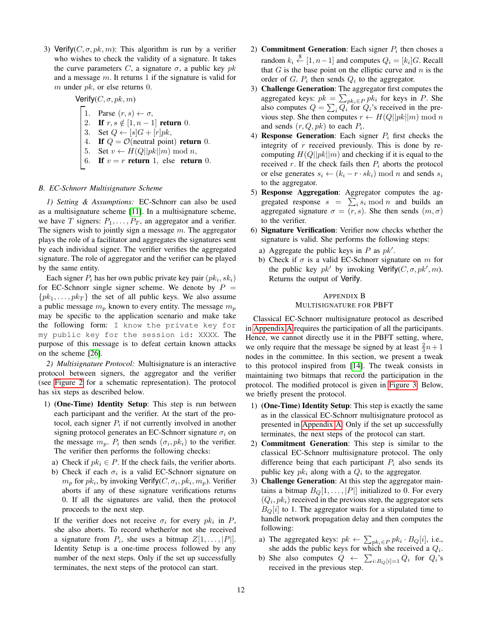3) Verify( $C, \sigma, pk, m$ ): This algorithm is run by a verifier who wishes to check the validity of a signature. It takes the curve parameters C, a signature  $\sigma$ , a public key pk and a message  $m$ . It returns 1 if the signature is valid for  $m$  under  $pk$ , or else returns 0.

Verify(C, 
$$
\sigma
$$
, pk, m)  
\n1. Parse  $(r, s) \leftarrow \sigma$ ,  
\n2. If  $r, s \notin [1, n-1]$  return 0.  
\n3. Set  $Q \leftarrow [s]G + [r]pk$ ,  
\n4. If  $Q = \mathcal{O}$ (neutral point) return 0.  
\n5. Set  $v \leftarrow H(Q||pk||m)$  mod n,  
\n6. If  $v = r$  return 1, else return 0.

# *B. EC-Schnorr Multisignature Scheme*

*1) Setting & Assumptions:* EC-Schnorr can also be used as a multisignature scheme [\[11\]](#page-10-10). In a multisignature scheme, we have T signers:  $P_1, \ldots, P_T$ , an aggregator and a verifier. The signers wish to jointly sign a message  $m$ . The aggregator plays the role of a facilitator and aggregates the signatures sent by each individual signer. The verifier verifies the aggregated signature. The role of aggregator and the verifier can be played by the same entity.

Each signer  $P_i$  has her own public private key pair  $(pk_i, sk_i)$ for EC-Schnorr single signer scheme. We denote by  $P =$  $\{pk_1, \ldots, pk_T\}$  the set of all public keys. We also assume a public message  $m_p$  known to every entity. The message  $m_p$ may be specific to the application scenario and make take the following form: I know the private key for my public key for the session id: XXXX. The purpose of this message is to defeat certain known attacks on the scheme [\[26\]](#page-10-26).

*2) Multisignature Protocol:* Multisignature is an interactive protocol between signers, the aggregator and the verifier (see [Figure 2](#page-12-0) for a schematic representation). The protocol has six steps as described below.

- 1) (One-Time) Identity Setup: This step is run between each participant and the verifier. At the start of the protocol, each signer  $P_i$  if not currently involved in another signing protocol generates an EC-Schnorr signature  $\sigma_i$  on the message  $m_p$ .  $P_i$  then sends  $(\sigma_i, pk_i)$  to the verifier. The verifier then performs the following checks:
	- a) Check if  $pk_i \in P$ . If the check fails, the verifier aborts.
	- b) Check if each  $\sigma_i$  is a valid EC-Schnorr signature on  $m_p$  for  $pk_i$ , by invoking Verify( $C, \sigma_i, pk_i, m_p$ ). Verifier aborts if any of these signature verifications returns 0. If all the signatures are valid, then the protocol proceeds to the next step.

If the verifier does not receive  $\sigma_i$  for every  $pk_i$  in P, she also aborts. To record whether/or not she received a signature from  $P_i$ , she uses a bitmap  $Z[1, \ldots, |P|]$ . Identity Setup is a one-time process followed by any number of the next steps. Only if the set up successfully terminates, the next steps of the protocol can start.

- 2) **Commitment Generation**: Each signer  $P_i$  then choses a random  $k_i \stackrel{\$}{\leftarrow} [1, n-1]$  and computes  $Q_i = [k_i]G$ . Recall that  $G$  is the base point on the elliptic curve and  $n$  is the order of G.  $P_i$  then sends  $Q_i$  to the aggregator.
- 3) Challenge Generation: The aggregator first computes the aggregated keys:  $pk = \sum_{pk_i \in P} pk_i$  for keys in P. She also computes  $Q = \sum_i Q_i$  for  $Q_i$ 's received in the previous step. She then computes  $r \leftarrow H(Q||pk||m) \text{ mod } n$ and sends  $(r, Q, pk)$  to each  $P_i$ .
- 4) Response Generation: Each signer  $P_i$  first checks the integrity of  $r$  received previously. This is done by recomputing  $H(Q||pk||m)$  and checking if it is equal to the received r. If the check fails then  $P_i$  aborts the protocol or else generates  $s_i \leftarrow (k_i - r \cdot sk_i) \text{ mod } n$  and sends  $s_i$ to the aggregator.
- 5) Response Aggregation: Aggregator computes the aggregated response  $s = \sum_i s_i \bmod n$  and builds an aggregated signature  $\sigma = \overline{(r, s)}$ . She then sends  $(m, \sigma)$ to the verifier.
- 6) Signature Verification: Verifier now checks whether the signature is valid. She performs the following steps:
	- a) Aggregate the public keys in  $P$  as  $pk'$ .
	- b) Check if  $\sigma$  is a valid EC-Schnorr signature on m for the public key  $pk'$  by invoking Verify( $C, \sigma, pk', m$ ). Returns the output of Verify.

# <span id="page-11-0"></span>APPENDIX B MULTISIGNATURE FOR PBFT

Classical EC-Schnorr multisignature protocol as described in [Appendix A](#page-10-11) requires the participation of all the participants. Hence, we cannot directly use it in the PBFT setting, where, we only require that the message be signed by at least  $\frac{2}{3}n+1$ nodes in the committee. In this section, we present a tweak to this protocol inspired from [\[14\]](#page-10-14). The tweak consists in maintaining two bitmaps that record the participation in the protocol. The modified protocol is given in [Figure 3.](#page-13-0) Below, we briefly present the protocol.

- 1) (One-Time) Identity Setup: This step is exactly the same as in the classical EC-Schnorr multisignature protocol as presented in [Appendix A.](#page-10-11) Only if the set up successfully terminates, the next steps of the protocol can start.
- 2) Commitment Generation: This step is similar to the classical EC-Schnorr multisignature protocol. The only difference being that each participant  $P_i$  also sends its public key  $pk_i$  along with a  $Q_i$  to the aggregator.
- 3) Challenge Generation: At this step the aggregator maintains a bitmap  $B_Q[1, \ldots, |P|]$  initialized to 0. For every  $(Q_i, pk_i)$  received in the previous step, the aggregator sets  $B<sub>O</sub>[i]$  to 1. The aggregator waits for a stipulated time to handle network propagation delay and then computes the following:
	- a) The aggregated keys:  $pk \leftarrow \sum_{pk_i \in P} pk_i \cdot B_Q[i]$ , i.e., she adds the public keys for which she received a  $Q_i$ .
	- b) She also computes  $Q \leftarrow \sum_{i:B_Q[i]=1} Q_i$  for  $Q_i$ 's received in the previous step.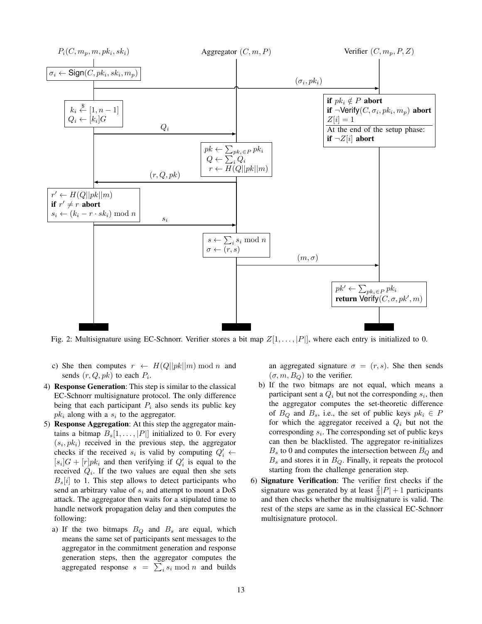<span id="page-12-0"></span>

Fig. 2: Multisignature using EC-Schnorr. Verifier stores a bit map  $Z[1, \ldots, |P|]$ , where each entry is initialized to 0.

- c) She then computes  $r \leftarrow H(Q||pk||m) \text{ mod } n$  and sends  $(r, Q, pk)$  to each  $P_i$ .
- 4) Response Generation: This step is similar to the classical EC-Schnorr multisignature protocol. The only difference being that each participant  $P_i$  also sends its public key  $pk_i$  along with a  $s_i$  to the aggregator.
- 5) Response Aggregation: At this step the aggregator maintains a bitmap  $B_s[1,\ldots,|P|]$  initialized to 0. For every  $(s_i, pk_i)$  received in the previous step, the aggregator checks if the received  $s_i$  is valid by computing  $Q'_i \leftarrow$  $[s_i]G + [r]pk_i$  and then verifying if  $Q'_i$  is equal to the received  $Q_i$ . If the two values are equal then she sets  $B_s[i]$  to 1. This step allows to detect participants who send an arbitrary value of  $s_i$  and attempt to mount a DoS attack. The aggregator then waits for a stipulated time to handle network propagation delay and then computes the following:
	- a) If the two bitmaps  $B_Q$  and  $B_s$  are equal, which means the same set of participants sent messages to the aggregator in the commitment generation and response generation steps, then the aggregator computes the aggregated response  $s = \sum_i s_i \bmod n$  and builds

an aggregated signature  $\sigma = (r, s)$ . She then sends  $(\sigma, m, B_Q)$  to the verifier.

- b) If the two bitmaps are not equal, which means a participant sent a  $Q_i$  but not the corresponding  $s_i$ , then the aggregator computes the set-theoretic difference of  $B_Q$  and  $B_s$ , i.e., the set of public keys  $pk_i \in P$ for which the aggregator received a  $Q_i$  but not the corresponding  $s_i$ . The corresponding set of public keys can then be blacklisted. The aggregator re-initializes  $B_s$  to 0 and computes the intersection between  $B_Q$  and  $B_s$  and stores it in  $B_Q$ . Finally, it repeats the protocol starting from the challenge generation step.
- 6) Signature Verification: The verifier first checks if the signature was generated by at least  $\frac{2}{3}|P|+1$  participants and then checks whether the multisignature is valid. The rest of the steps are same as in the classical EC-Schnorr multisignature protocol.